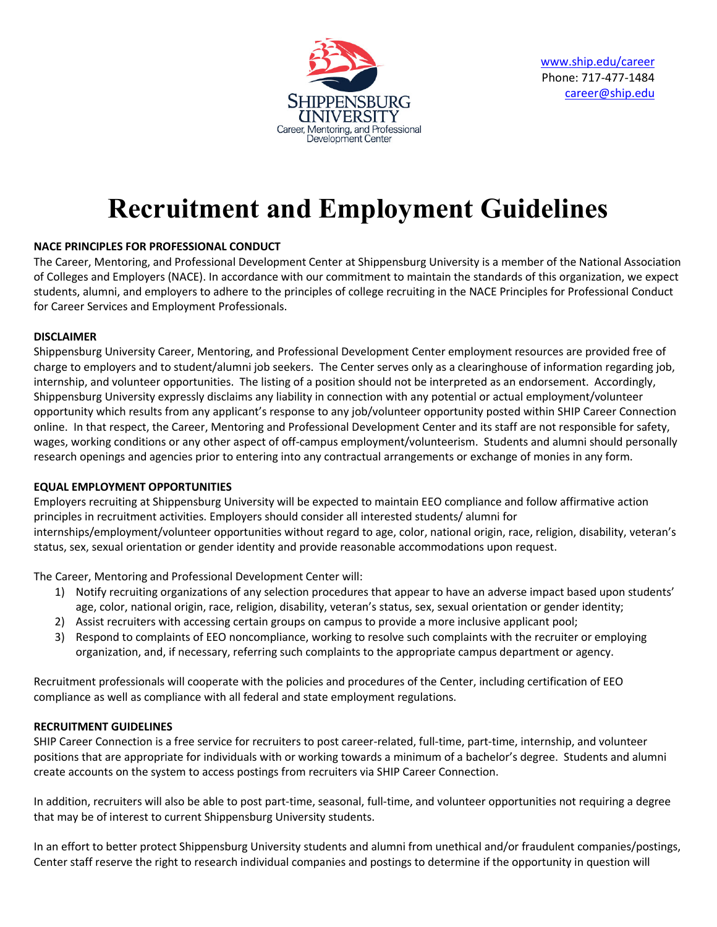

[www.ship.edu/career](http://www.ship.edu/career) Phone: 717-477-1484 [career@ship.edu](mailto:career@ship.edu)

# **Recruitment and Employment Guidelines**

# **NACE PRINCIPLES FOR PROFESSIONAL CONDUCT**

The Career, Mentoring, and Professional Development Center at Shippensburg University is a member of the National Association of Colleges and Employers (NACE). In accordance with our commitment to maintain the standards of this organization, we expect students, alumni, and employers to adhere to the principles of college recruiting in the NACE Principles for Professional Conduct for Career Services and Employment Professionals.

# **DISCLAIMER**

Shippensburg University Career, Mentoring, and Professional Development Center employment resources are provided free of charge to employers and to student/alumni job seekers. The Center serves only as a clearinghouse of information regarding job, internship, and volunteer opportunities. The listing of a position should not be interpreted as an endorsement. Accordingly, Shippensburg University expressly disclaims any liability in connection with any potential or actual employment/volunteer opportunity which results from any applicant's response to any job/volunteer opportunity posted within SHIP Career Connection online. In that respect, the Career, Mentoring and Professional Development Center and its staff are not responsible for safety, wages, working conditions or any other aspect of off-campus employment/volunteerism. Students and alumni should personally research openings and agencies prior to entering into any contractual arrangements or exchange of monies in any form.

## **EQUAL EMPLOYMENT OPPORTUNITIES**

Employers recruiting at Shippensburg University will be expected to maintain EEO compliance and follow affirmative action principles in recruitment activities. Employers should consider all interested students/ alumni for internships/employment/volunteer opportunities without regard to age, color, national origin, race, religion, disability, veteran's status, sex, sexual orientation or gender identity and provide reasonable accommodations upon request.

The Career, Mentoring and Professional Development Center will:

- 1) Notify recruiting organizations of any selection procedures that appear to have an adverse impact based upon students' age, color, national origin, race, religion, disability, veteran's status, sex, sexual orientation or gender identity;
- 2) Assist recruiters with accessing certain groups on campus to provide a more inclusive applicant pool;
- 3) Respond to complaints of EEO noncompliance, working to resolve such complaints with the recruiter or employing organization, and, if necessary, referring such complaints to the appropriate campus department or agency.

Recruitment professionals will cooperate with the policies and procedures of the Center, including certification of EEO compliance as well as compliance with all federal and state employment regulations.

# **RECRUITMENT GUIDELINES**

SHIP Career Connection is a free service for recruiters to post career-related, full-time, part-time, internship, and volunteer positions that are appropriate for individuals with or working towards a minimum of a bachelor's degree. Students and alumni create accounts on the system to access postings from recruiters via SHIP Career Connection.

In addition, recruiters will also be able to post part-time, seasonal, full-time, and volunteer opportunities not requiring a degree that may be of interest to current Shippensburg University students.

In an effort to better protect Shippensburg University students and alumni from unethical and/or fraudulent companies/postings, Center staff reserve the right to research individual companies and postings to determine if the opportunity in question will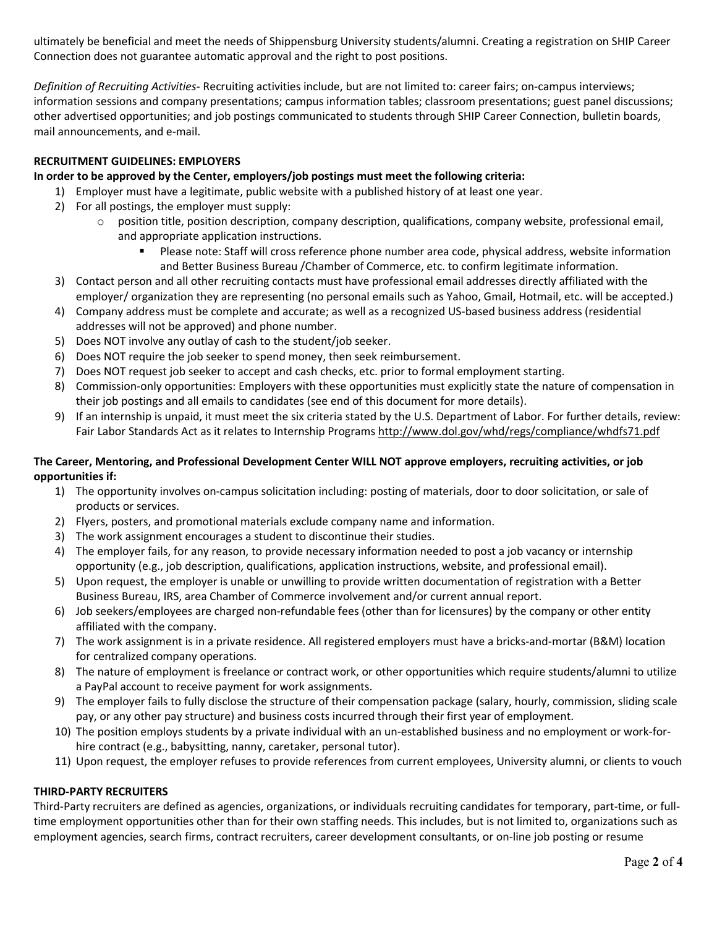ultimately be beneficial and meet the needs of Shippensburg University students/alumni. Creating a registration on SHIP Career Connection does not guarantee automatic approval and the right to post positions.

*Definition of Recruiting Activities-* Recruiting activities include, but are not limited to: career fairs; on-campus interviews; information sessions and company presentations; campus information tables; classroom presentations; guest panel discussions; other advertised opportunities; and job postings communicated to students through SHIP Career Connection, bulletin boards, mail announcements, and e-mail.

## **RECRUITMENT GUIDELINES: EMPLOYERS**

## **In order to be approved by the Center, employers/job postings must meet the following criteria:**

- 1) Employer must have a legitimate, public website with a published history of at least one year.
- 2) For all postings, the employer must supply:
	- $\circ$  position title, position description, company description, qualifications, company website, professional email, and appropriate application instructions.
		- Please note: Staff will cross reference phone number area code, physical address, website information and Better Business Bureau /Chamber of Commerce, etc. to confirm legitimate information.
- 3) Contact person and all other recruiting contacts must have professional email addresses directly affiliated with the employer/ organization they are representing (no personal emails such as Yahoo, Gmail, Hotmail, etc. will be accepted.)
- 4) Company address must be complete and accurate; as well as a recognized US-based business address (residential addresses will not be approved) and phone number.
- 5) Does NOT involve any outlay of cash to the student/job seeker.
- 6) Does NOT require the job seeker to spend money, then seek reimbursement.
- 7) Does NOT request job seeker to accept and cash checks, etc. prior to formal employment starting.
- 8) Commission-only opportunities: Employers with these opportunities must explicitly state the nature of compensation in their job postings and all emails to candidates (see end of this document for more details).
- 9) If an internship is unpaid, it must meet the six criteria stated by the U.S. Department of Labor. For further details, review: Fair Labor Standards Act as it relates to Internship Programs<http://www.dol.gov/whd/regs/compliance/whdfs71.pdf>

## **The Career, Mentoring, and Professional Development Center WILL NOT approve employers, recruiting activities, or job opportunities if:**

- 1) The opportunity involves on-campus solicitation including: posting of materials, door to door solicitation, or sale of products or services.
- 2) Flyers, posters, and promotional materials exclude company name and information.
- 3) The work assignment encourages a student to discontinue their studies.
- 4) The employer fails, for any reason, to provide necessary information needed to post a job vacancy or internship opportunity (e.g., job description, qualifications, application instructions, website, and professional email).
- 5) Upon request, the employer is unable or unwilling to provide written documentation of registration with a Better Business Bureau, IRS, area Chamber of Commerce involvement and/or current annual report.
- 6) Job seekers/employees are charged non-refundable fees (other than for licensures) by the company or other entity affiliated with the company.
- 7) The work assignment is in a private residence. All registered employers must have a bricks-and-mortar (B&M) location for centralized company operations.
- 8) The nature of employment is freelance or contract work, or other opportunities which require students/alumni to utilize a PayPal account to receive payment for work assignments.
- 9) The employer fails to fully disclose the structure of their compensation package (salary, hourly, commission, sliding scale pay, or any other pay structure) and business costs incurred through their first year of employment.
- 10) The position employs students by a private individual with an un-established business and no employment or work-forhire contract (e.g., babysitting, nanny, caretaker, personal tutor).
- 11) Upon request, the employer refuses to provide references from current employees, University alumni, or clients to vouch

## **THIRD-PARTY RECRUITERS**

Third-Party recruiters are defined as agencies, organizations, or individuals recruiting candidates for temporary, part-time, or fulltime employment opportunities other than for their own staffing needs. This includes, but is not limited to, organizations such as employment agencies, search firms, contract recruiters, career development consultants, or on-line job posting or resume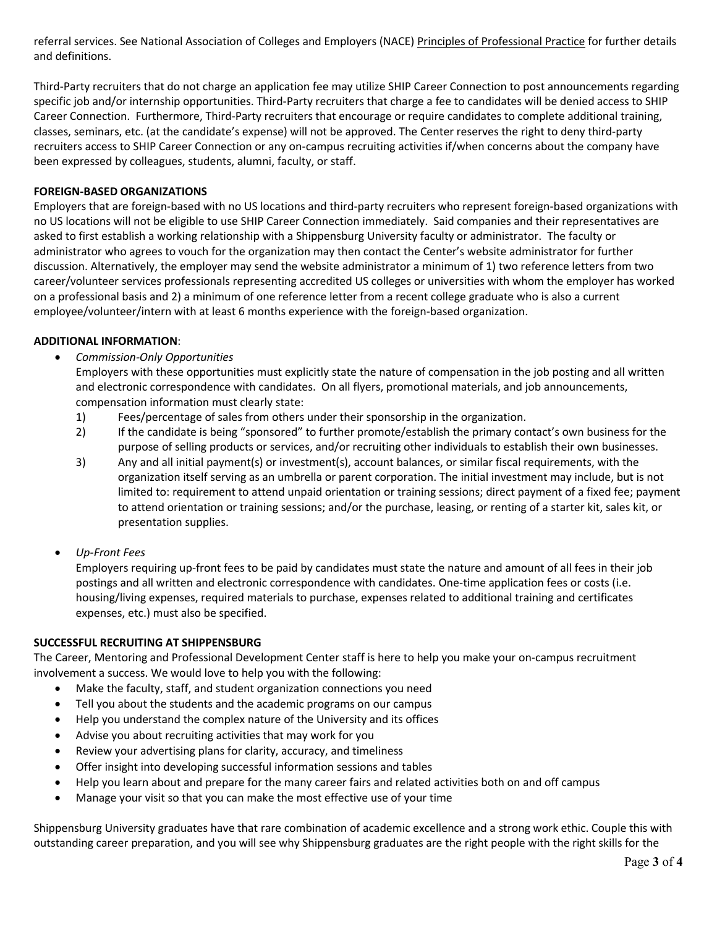referral services. See National Association of Colleges and Employers (NACE) [Principles of Professional Practice](http://www.naceweb.org/principles/) for further details and definitions.

Third-Party recruiters that do not charge an application fee may utilize SHIP Career Connection to post announcements regarding specific job and/or internship opportunities. Third-Party recruiters that charge a fee to candidates will be denied access to SHIP Career Connection. Furthermore, Third-Party recruiters that encourage or require candidates to complete additional training, classes, seminars, etc. (at the candidate's expense) will not be approved. The Center reserves the right to deny third-party recruiters access to SHIP Career Connection or any on-campus recruiting activities if/when concerns about the company have been expressed by colleagues, students, alumni, faculty, or staff.

#### **FOREIGN-BASED ORGANIZATIONS**

Employers that are foreign-based with no US locations and third-party recruiters who represent foreign-based organizations with no US locations will not be eligible to use SHIP Career Connection immediately. Said companies and their representatives are asked to first establish a working relationship with a Shippensburg University faculty or administrator. The faculty or administrator who agrees to vouch for the organization may then contact the Center's website administrator for further discussion. Alternatively, the employer may send the website administrator a minimum of 1) two reference letters from two career/volunteer services professionals representing accredited US colleges or universities with whom the employer has worked on a professional basis and 2) a minimum of one reference letter from a recent college graduate who is also a current employee/volunteer/intern with at least 6 months experience with the foreign-based organization.

#### **ADDITIONAL INFORMATION**:

• *Commission-Only Opportunities*

Employers with these opportunities must explicitly state the nature of compensation in the job posting and all written and electronic correspondence with candidates. On all flyers, promotional materials, and job announcements, compensation information must clearly state:

- 1) Fees/percentage of sales from others under their sponsorship in the organization.
- 2) If the candidate is being "sponsored" to further promote/establish the primary contact's own business for the purpose of selling products or services, and/or recruiting other individuals to establish their own businesses.
- 3) Any and all initial payment(s) or investment(s), account balances, or similar fiscal requirements, with the organization itself serving as an umbrella or parent corporation. The initial investment may include, but is not limited to: requirement to attend unpaid orientation or training sessions; direct payment of a fixed fee; payment to attend orientation or training sessions; and/or the purchase, leasing, or renting of a starter kit, sales kit, or presentation supplies.
- *Up-Front Fees*

Employers requiring up-front fees to be paid by candidates must state the nature and amount of all fees in their job postings and all written and electronic correspondence with candidates. One-time application fees or costs (i.e. housing/living expenses, required materials to purchase, expenses related to additional training and certificates expenses, etc.) must also be specified.

#### **SUCCESSFUL RECRUITING AT SHIPPENSBURG**

The Career, Mentoring and Professional Development Center staff is here to help you make your on-campus recruitment involvement a success. We would love to help you with the following:

- Make the faculty, staff, and student organization connections you need
- Tell you about the students and the academic programs on our campus
- Help you understand the complex nature of the University and its offices
- Advise you about recruiting activities that may work for you
- Review your advertising plans for clarity, accuracy, and timeliness
- Offer insight into developing successful information sessions and tables
- Help you learn about and prepare for the many career fairs and related activities both on and off campus
- Manage your visit so that you can make the most effective use of your time

Shippensburg University graduates have that rare combination of academic excellence and a strong work ethic. Couple this with outstanding career preparation, and you will see why Shippensburg graduates are the right people with the right skills for the